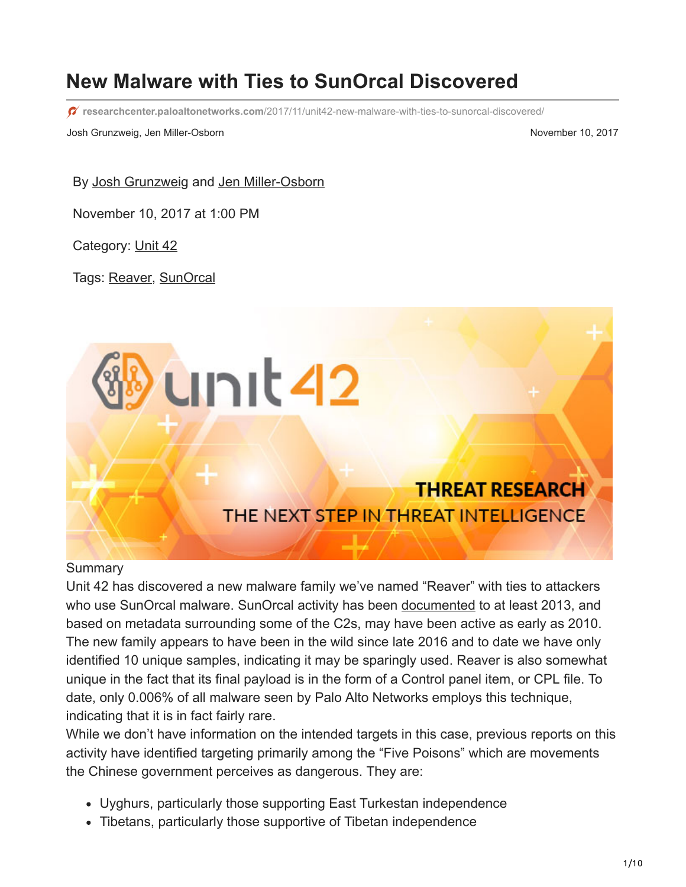# **New Malware with Ties to SunOrcal Discovered**

**researchcenter.paloaltonetworks.com**[/2017/11/unit42-new-malware-with-ties-to-sunorcal-discovered/](https://researchcenter.paloaltonetworks.com/2017/11/unit42-new-malware-with-ties-to-sunorcal-discovered/)

Josh Grunzweig, Jen Miller-Osborn November 10, 2017

By [Josh Grunzweig](https://unit42.paloaltonetworks.com/author/joshgruznweig/) and [Jen Miller-Osborn](https://unit42.paloaltonetworks.com/author/jen-miller-osborn/)

November 10, 2017 at 1:00 PM

Category: [Unit 42](https://unit42.paloaltonetworks.com/category/unit42/)

Tags: [Reaver,](https://unit42.paloaltonetworks.com/tag/reaver/) [SunOrcal](https://unit42.paloaltonetworks.com/tag/sunorcal/)



#### **Summary**

Unit 42 has discovered a new malware family we've named "Reaver" with ties to attackers who use SunOrcal malware. SunOrcal activity has been [documented](http://pwc.blogs.com/cyber_security_updates/2016/03/index.html) to at least 2013, and based on metadata surrounding some of the C2s, may have been active as early as 2010. The new family appears to have been in the wild since late 2016 and to date we have only identified 10 unique samples, indicating it may be sparingly used. Reaver is also somewhat unique in the fact that its final payload is in the form of a Control panel item, or CPL file. To date, only 0.006% of all malware seen by Palo Alto Networks employs this technique, indicating that it is in fact fairly rare.

While we don't have information on the intended targets in this case, previous reports on this activity have identified targeting primarily among the "Five Poisons" which are movements the Chinese government perceives as dangerous. They are:

- Uyghurs, particularly those supporting East Turkestan independence
- Tibetans, particularly those supportive of Tibetan independence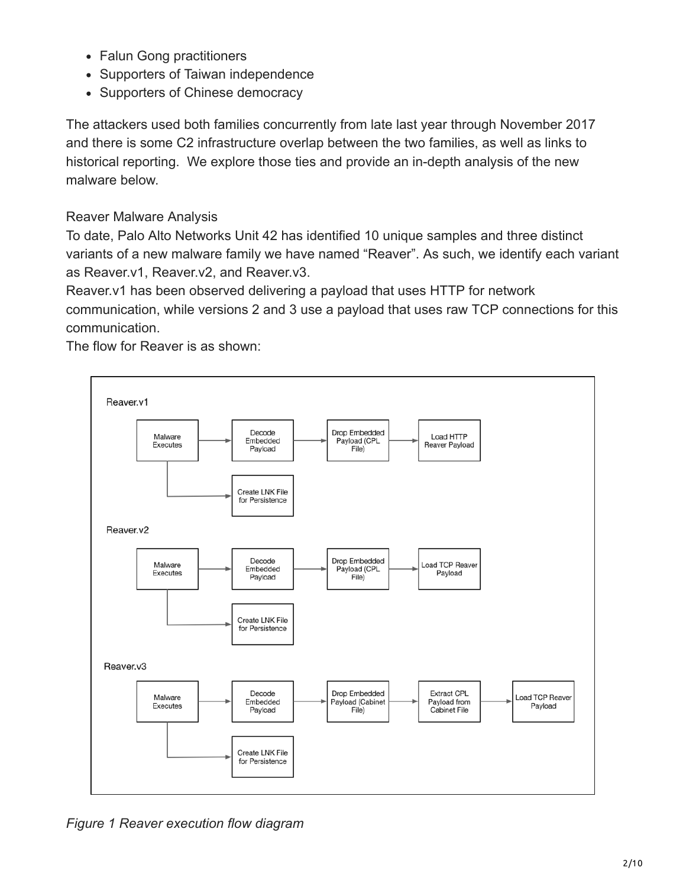- Falun Gong practitioners
- Supporters of Taiwan independence
- Supporters of Chinese democracy

The attackers used both families concurrently from late last year through November 2017 and there is some C2 infrastructure overlap between the two families, as well as links to historical reporting. We explore those ties and provide an in-depth analysis of the new malware below.

### Reaver Malware Analysis

To date, Palo Alto Networks Unit 42 has identified 10 unique samples and three distinct variants of a new malware family we have named "Reaver". As such, we identify each variant as Reaver.v1, Reaver.v2, and Reaver.v3.

Reaver.v1 has been observed delivering a payload that uses HTTP for network communication, while versions 2 and 3 use a payload that uses raw TCP connections for this communication.

The flow for Reaver is as shown:



*Figure 1 Reaver execution flow diagram*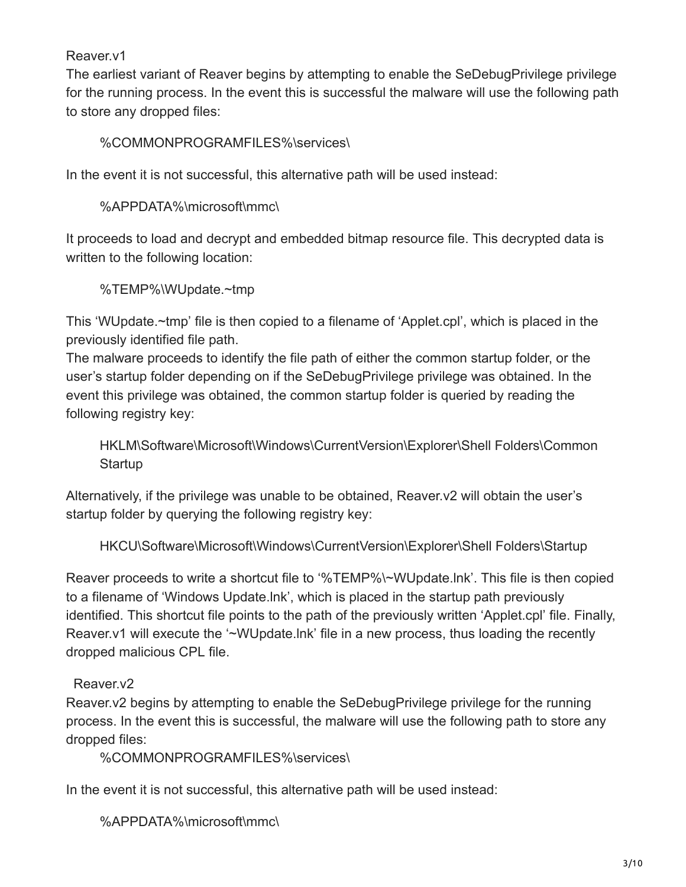### Reaver.v1

The earliest variant of Reaver begins by attempting to enable the SeDebugPrivilege privilege for the running process. In the event this is successful the malware will use the following path to store any dropped files:

%COMMONPROGRAMFILES%\services\

In the event it is not successful, this alternative path will be used instead:

%APPDATA%\microsoft\mmc\

It proceeds to load and decrypt and embedded bitmap resource file. This decrypted data is written to the following location:

%TEMP%\WUpdate.~tmp

This 'WUpdate.~tmp' file is then copied to a filename of 'Applet.cpl', which is placed in the previously identified file path.

The malware proceeds to identify the file path of either the common startup folder, or the user's startup folder depending on if the SeDebugPrivilege privilege was obtained. In the event this privilege was obtained, the common startup folder is queried by reading the following registry key:

HKLM\Software\Microsoft\Windows\CurrentVersion\Explorer\Shell Folders\Common **Startup** 

Alternatively, if the privilege was unable to be obtained, Reaver.v2 will obtain the user's startup folder by querying the following registry key:

HKCU\Software\Microsoft\Windows\CurrentVersion\Explorer\Shell Folders\Startup

Reaver proceeds to write a shortcut file to '%TEMP%\~WUpdate.lnk'. This file is then copied to a filename of 'Windows Update.lnk', which is placed in the startup path previously identified. This shortcut file points to the path of the previously written 'Applet.cpl' file. Finally, Reaver.v1 will execute the '~WUpdate.lnk' file in a new process, thus loading the recently dropped malicious CPL file.

### Reaver.v2

Reaver.v2 begins by attempting to enable the SeDebugPrivilege privilege for the running process. In the event this is successful, the malware will use the following path to store any dropped files:

%COMMONPROGRAMFILES%\services\

In the event it is not successful, this alternative path will be used instead:

%APPDATA%\microsoft\mmc\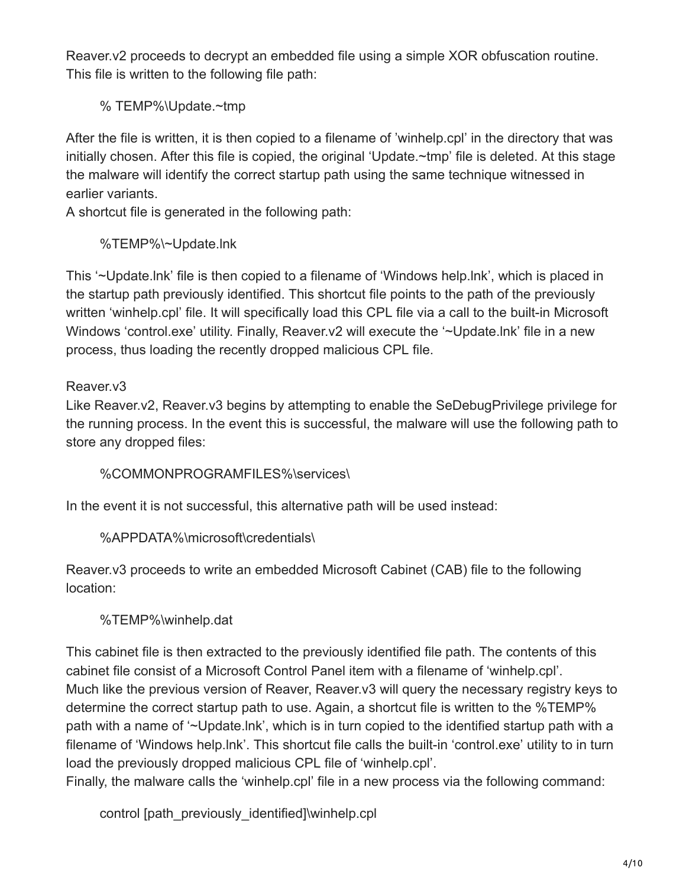Reaver.v2 proceeds to decrypt an embedded file using a simple XOR obfuscation routine. This file is written to the following file path:

% TEMP%\Update.~tmp

After the file is written, it is then copied to a filename of 'winhelp.cpl' in the directory that was initially chosen. After this file is copied, the original 'Update.~tmp' file is deleted. At this stage the malware will identify the correct startup path using the same technique witnessed in earlier variants.

A shortcut file is generated in the following path:

%TEMP%\~Update.lnk

This '~Update.lnk' file is then copied to a filename of 'Windows help.lnk', which is placed in the startup path previously identified. This shortcut file points to the path of the previously written 'winhelp.cpl' file. It will specifically load this CPL file via a call to the built-in Microsoft Windows 'control.exe' utility. Finally, Reaver.v2 will execute the '~Update.lnk' file in a new process, thus loading the recently dropped malicious CPL file.

### Reaver.v3

Like Reaver.v2, Reaver.v3 begins by attempting to enable the SeDebugPrivilege privilege for the running process. In the event this is successful, the malware will use the following path to store any dropped files:

%COMMONPROGRAMFILES%\services\

In the event it is not successful, this alternative path will be used instead:

%APPDATA%\microsoft\credentials\

Reaver.v3 proceeds to write an embedded Microsoft Cabinet (CAB) file to the following location:

## %TEMP%\winhelp.dat

This cabinet file is then extracted to the previously identified file path. The contents of this cabinet file consist of a Microsoft Control Panel item with a filename of 'winhelp.cpl'. Much like the previous version of Reaver, Reaver.v3 will query the necessary registry keys to determine the correct startup path to use. Again, a shortcut file is written to the %TEMP% path with a name of '~Update.lnk', which is in turn copied to the identified startup path with a filename of 'Windows help.lnk'. This shortcut file calls the built-in 'control.exe' utility to in turn load the previously dropped malicious CPL file of 'winhelp.cpl'.

Finally, the malware calls the 'winhelp.cpl' file in a new process via the following command:

control [path\_previously\_identified]\winhelp.cpl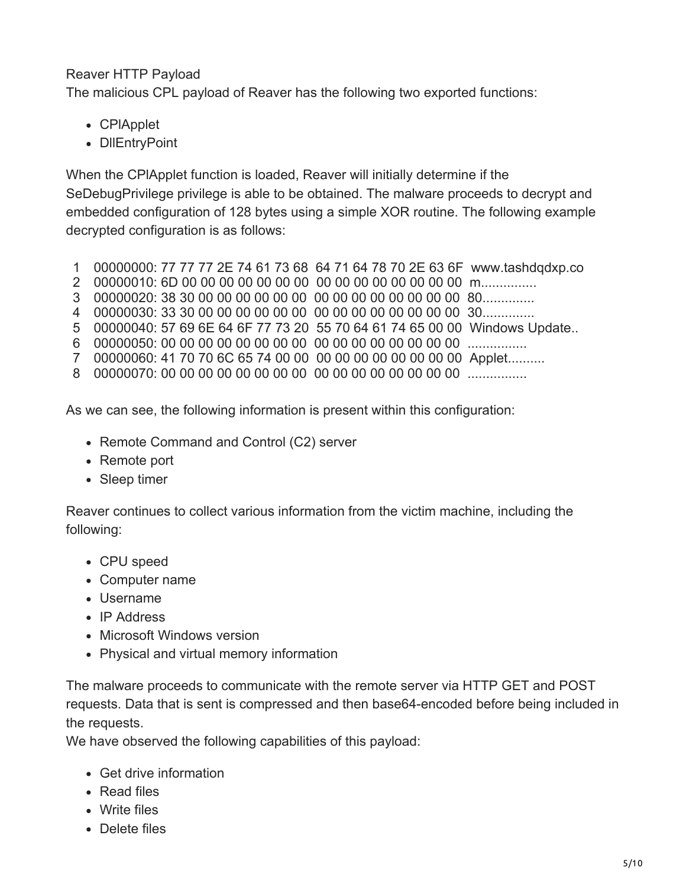### Reaver HTTP Payload

The malicious CPL payload of Reaver has the following two exported functions:

- CPlApplet
- DIIEntryPoint

When the CPlApplet function is loaded, Reaver will initially determine if the SeDebugPrivilege privilege is able to be obtained. The malware proceeds to decrypt and embedded configuration of 128 bytes using a simple XOR routine. The following example decrypted configuration is as follows:

- 1 00000000: 77 77 77 2E 74 61 73 68 64 71 64 78 70 2E 63 6F www.tashdqdxp.co
- 2 00000010: 6D 00 00 00 00 00 00 00 00 00 00 00 00 00 00 00 m...............
- 3 00000020: 38 30 00 00 00 00 00 00 00 00 00 00 00 00 00 00 80..............
- 4 00000030: 33 30 00 00 00 00 00 00 00 00 00 00 00 00 00 00 30..............
- 5 00000040: 57 69 6E 64 6F 77 73 20 55 70 64 61 74 65 00 00 Windows Update..
- 6 00000050: 00 00 00 00 00 00 00 00 00 00 00 00 00 00 00 00 ................
- 7 00000060: 41 70 70 6C 65 74 00 00 00 00 00 00 00 00 00 00 Applet..........
- 8 00000070: 00 00 00 00 00 00 00 00 00 00 00 00 00 00 00 00 ................

As we can see, the following information is present within this configuration:

- Remote Command and Control (C2) server
- Remote port
- Sleep timer

Reaver continues to collect various information from the victim machine, including the following:

- CPU speed
- Computer name
- Username
- IP Address
- Microsoft Windows version
- Physical and virtual memory information

The malware proceeds to communicate with the remote server via HTTP GET and POST requests. Data that is sent is compressed and then base64-encoded before being included in the requests.

We have observed the following capabilities of this payload:

- Get drive information
- Read files
- Write files
- Delete files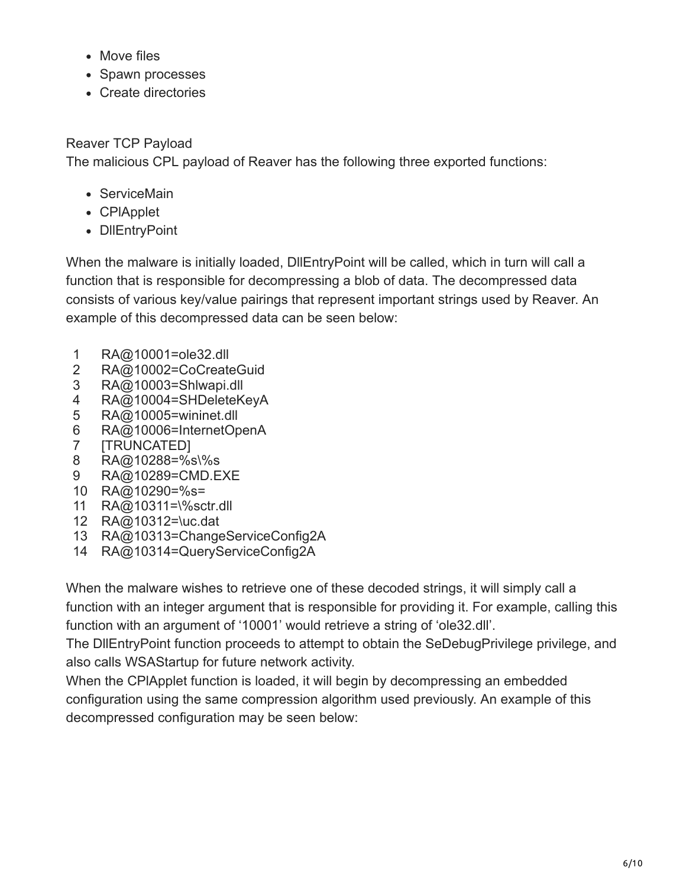- Move files
- Spawn processes
- Create directories

### Reaver TCP Payload

The malicious CPL payload of Reaver has the following three exported functions:

- ServiceMain
- CPlApplet
- DllEntryPoint

When the malware is initially loaded, DIIEntryPoint will be called, which in turn will call a function that is responsible for decompressing a blob of data. The decompressed data consists of various key/value pairings that represent important strings used by Reaver. An example of this decompressed data can be seen below:

- 1 RA@10001=ole32.dll
- 2 RA@10002=CoCreateGuid
- 3 RA@10003=Shlwapi.dll
- 4 RA@10004=SHDeleteKeyA
- 5 RA@10005=wininet.dll
- 6 RA@10006=InternetOpenA
- 7 [TRUNCATED]
- 8 RA@10288=%s\%s
- 9 RA@10289=CMD.EXE
- 10 RA@10290=%s=
- 11 RA@10311=\%sctr.dll
- 12 RA@10312=\uc.dat
- 13 RA@10313=ChangeServiceConfig2A
- 14 RA@10314=QueryServiceConfig2A

When the malware wishes to retrieve one of these decoded strings, it will simply call a function with an integer argument that is responsible for providing it. For example, calling this function with an argument of '10001' would retrieve a string of 'ole32.dll'.

The DllEntryPoint function proceeds to attempt to obtain the SeDebugPrivilege privilege, and also calls WSAStartup for future network activity.

When the CPlApplet function is loaded, it will begin by decompressing an embedded configuration using the same compression algorithm used previously. An example of this decompressed configuration may be seen below: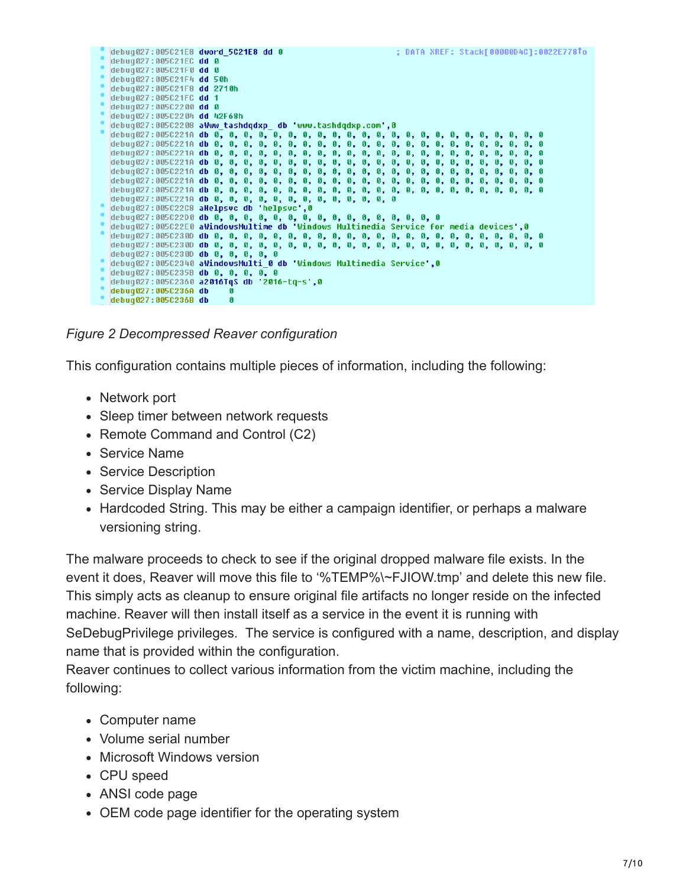|  |  | debug027:005C21E8 dword 5C21E8 dd 0                                                   |  |   |  |  |  |  |  |  |  |  |  |  | ; DATA XREF: Stack[00000D4C]:0022E778To |
|--|--|---------------------------------------------------------------------------------------|--|---|--|--|--|--|--|--|--|--|--|--|-----------------------------------------|
|  |  | debug027:005C21EC dd 0                                                                |  |   |  |  |  |  |  |  |  |  |  |  |                                         |
|  |  | debug027:005C21F0 dd 0                                                                |  |   |  |  |  |  |  |  |  |  |  |  |                                         |
|  |  | debug027:005C21F4 dd 50h                                                              |  |   |  |  |  |  |  |  |  |  |  |  |                                         |
|  |  | debug027:005C21F8 dd 2710h                                                            |  |   |  |  |  |  |  |  |  |  |  |  |                                         |
|  |  | debug027:005C21FC dd 1                                                                |  |   |  |  |  |  |  |  |  |  |  |  |                                         |
|  |  | debug027:005C2200 dd 0                                                                |  |   |  |  |  |  |  |  |  |  |  |  |                                         |
|  |  | debug027:005C2204 dd 42F68h                                                           |  |   |  |  |  |  |  |  |  |  |  |  |                                         |
|  |  | debug027:005C2208 aWww tashdqdxp db 'www.tashdqdxp.com',0                             |  |   |  |  |  |  |  |  |  |  |  |  |                                         |
|  |  |                                                                                       |  |   |  |  |  |  |  |  |  |  |  |  |                                         |
|  |  |                                                                                       |  |   |  |  |  |  |  |  |  |  |  |  |                                         |
|  |  |                                                                                       |  |   |  |  |  |  |  |  |  |  |  |  |                                         |
|  |  |                                                                                       |  |   |  |  |  |  |  |  |  |  |  |  |                                         |
|  |  |                                                                                       |  |   |  |  |  |  |  |  |  |  |  |  |                                         |
|  |  |                                                                                       |  |   |  |  |  |  |  |  |  |  |  |  |                                         |
|  |  |                                                                                       |  |   |  |  |  |  |  |  |  |  |  |  |                                         |
|  |  | debug027:005C221A db 0, 0, 0, 0, 0, 0, 0, 0, 0, 0, 0, 0, 0                            |  |   |  |  |  |  |  |  |  |  |  |  |                                         |
|  |  | debug027:005C22C8 aHelpsuc db 'helpsuc',0                                             |  |   |  |  |  |  |  |  |  |  |  |  |                                         |
|  |  |                                                                                       |  |   |  |  |  |  |  |  |  |  |  |  |                                         |
|  |  | debuq027:005C22E0 aWindowsMultime db 'Windows Multimedia Service for media devices',0 |  |   |  |  |  |  |  |  |  |  |  |  |                                         |
|  |  |                                                                                       |  |   |  |  |  |  |  |  |  |  |  |  |                                         |
|  |  |                                                                                       |  |   |  |  |  |  |  |  |  |  |  |  |                                         |
|  |  | debug027:0050230D db 0, 0, 0, 0, 0                                                    |  |   |  |  |  |  |  |  |  |  |  |  |                                         |
|  |  | debuq027:005C2340 aWindowsMulti 0 db 'Windows Multimedia Service',0                   |  |   |  |  |  |  |  |  |  |  |  |  |                                         |
|  |  | debug027:005C235B db 0, 0, 0, 0, 0                                                    |  |   |  |  |  |  |  |  |  |  |  |  |                                         |
|  |  | debug027:005C2360 a2016TqS db '2016-tq-s',0                                           |  |   |  |  |  |  |  |  |  |  |  |  |                                         |
|  |  | debug027:005C236A db                                                                  |  |   |  |  |  |  |  |  |  |  |  |  |                                         |
|  |  | debug027:005C236B db                                                                  |  | G |  |  |  |  |  |  |  |  |  |  |                                         |

*Figure 2 Decompressed Reaver configuration*

This configuration contains multiple pieces of information, including the following:

- Network port
- Sleep timer between network requests
- Remote Command and Control (C2)
- Service Name
- Service Description
- Service Display Name
- Hardcoded String. This may be either a campaign identifier, or perhaps a malware versioning string.

The malware proceeds to check to see if the original dropped malware file exists. In the event it does, Reaver will move this file to '%TEMP%\~FJIOW.tmp' and delete this new file. This simply acts as cleanup to ensure original file artifacts no longer reside on the infected machine. Reaver will then install itself as a service in the event it is running with SeDebugPrivilege privileges. The service is configured with a name, description, and display name that is provided within the configuration.

Reaver continues to collect various information from the victim machine, including the following:

- Computer name
- Volume serial number
- Microsoft Windows version
- CPU speed
- ANSI code page
- OEM code page identifier for the operating system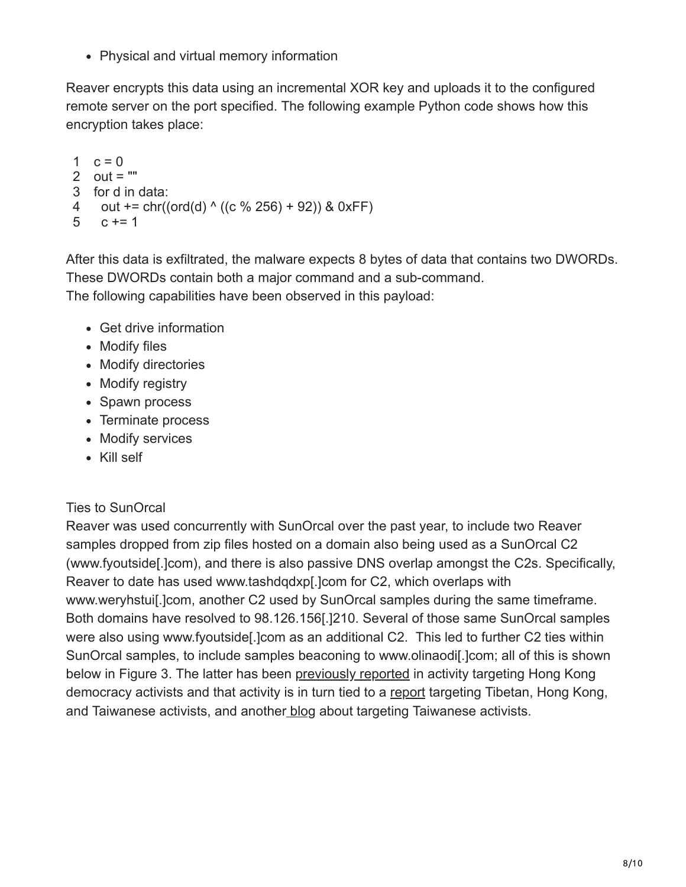• Physical and virtual memory information

Reaver encrypts this data using an incremental XOR key and uploads it to the configured remote server on the port specified. The following example Python code shows how this encryption takes place:

```
1 c = 02
out = ""
3
for d in data:
4
5
    out += \text{chr}((\text{ord}(d) \wedge ((c \frac{9}{6} 256) + 92)) & 0xFF)
      c + 1
```
After this data is exfiltrated, the malware expects 8 bytes of data that contains two DWORDs. These DWORDs contain both a major command and a sub-command.

The following capabilities have been observed in this payload:

- Get drive information
- Modify files
- Modify directories
- Modify registry
- Spawn process
- Terminate process
- Modify services
- Kill self

### Ties to SunOrcal

Reaver was used concurrently with SunOrcal over the past year, to include two Reaver samples dropped from zip files hosted on a domain also being used as a SunOrcal C2 (www.fyoutside[.]com), and there is also passive DNS overlap amongst the C2s. Specifically, Reaver to date has used www.tashdqdxp[.]com for C2, which overlaps with www.weryhstui[.]com, another C2 used by SunOrcal samples during the same timeframe. Both domains have resolved to 98.126.156[.]210. Several of those same SunOrcal samples were also using www.fyoutside[.]com as an additional C2. This led to further C2 ties within SunOrcal samples, to include samples beaconing to www.olinaodi[.]com; all of this is shown below in Figure 3. The latter has been [previously reported](https://citizenlab.ca/2016/04/between-hong-kong-and-burma/) in activity targeting Hong Kong democracy activists and that activity is in turn tied to a [report](https://www.arbornetworks.com/blog/asert/wp-content/uploads/2016/04/ASERT-Threat-Intelligence-Report-2016-03-The-Four-Element-Sword-Engagement.pdf) targeting Tibetan, Hong Kong, and Taiwanese activists, and another [blog](http://pwc.blogs.com/cyber_security_updates/2016/03/index.html) about targeting Taiwanese activists.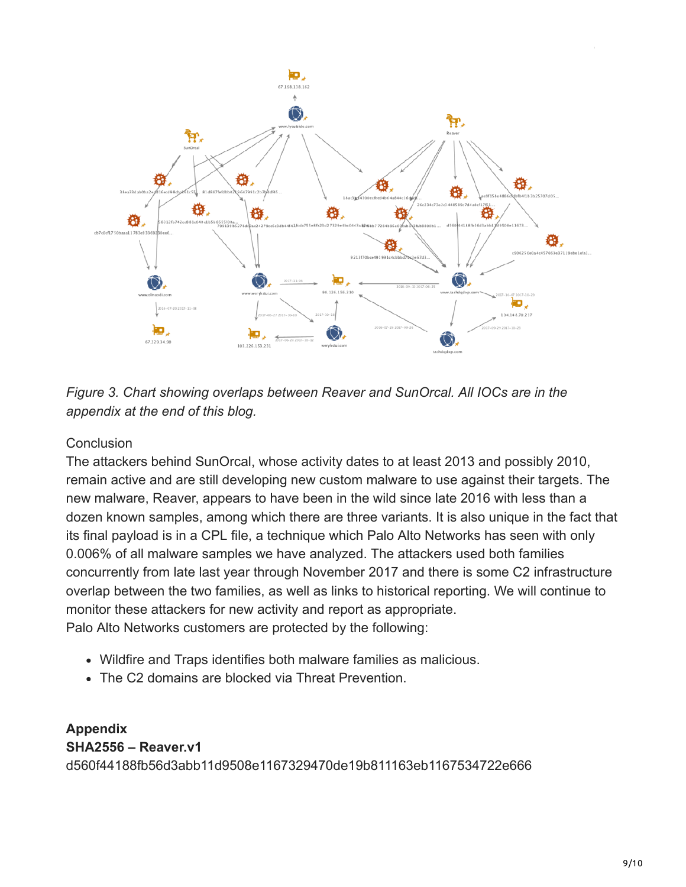



#### **Conclusion**

The attackers behind SunOrcal, whose activity dates to at least 2013 and possibly 2010, remain active and are still developing new custom malware to use against their targets. The new malware, Reaver, appears to have been in the wild since late 2016 with less than a dozen known samples, among which there are three variants. It is also unique in the fact that its final payload is in a CPL file, a technique which Palo Alto Networks has seen with only 0.006% of all malware samples we have analyzed. The attackers used both families concurrently from late last year through November 2017 and there is some C2 infrastructure overlap between the two families, as well as links to historical reporting. We will continue to monitor these attackers for new activity and report as appropriate. Palo Alto Networks customers are protected by the following:

- Wildfire and Traps identifies both malware families as malicious.
- The C2 domains are blocked via Threat Prevention.

**Appendix SHA2556 – Reaver.v1** d560f44188fb56d3abb11d9508e1167329470de19b811163eb1167534722e666